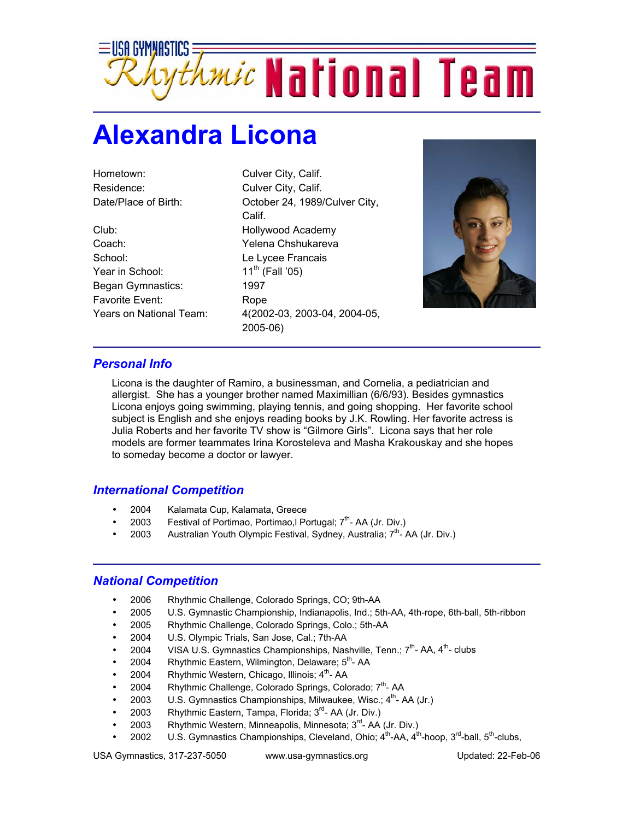

## **Alexandra Licona**

Hometown: Culver City, Calif. Residence: Culver City, Calif.

Club: Hollywood Academy Coach: Yelena Chshukareva School: Le Lycee Francais Year in School: **11<sup>th</sup>** (Fall '05) Began Gymnastics:1997 Favorite Event: Rope

Date/Place of Birth: Cotober 24, 1989/Culver City, Calif. Years on National Team: 4(2002-03, 2003-04, 2004-05, 2005-06)



## *Personal Info*

Licona is the daughter of Ramiro, a businessman, and Cornelia, a pediatrician and allergist. She has a younger brother named Maximillian (6/6/93). Besides gymnastics Licona enjoys going swimming, playing tennis, and going shopping. Her favorite school subject is English and she enjoys reading books by J.K. Rowling. Her favorite actress is Julia Roberts and her favorite TV show is "Gilmore Girls". Licona says that her role models are former teammates Irina Korosteleva and Masha Krakouskay and she hopes to someday become a doctor or lawyer.

## *International Competition*

- 2004 Kalamata Cup, Kalamata, Greece
- 2003 Festival of Portimao, Portimao, I Portugal;  $7<sup>th</sup>$  AA (Jr. Div.)
- 2003 Australian Youth Olympic Festival, Sydney, Australia;  $7<sup>th</sup>$  AA (Jr. Div.)

## *National Competition*

- 2006 Rhythmic Challenge, Colorado Springs, CO; 9th-AA
- 2005 U.S. Gymnastic Championship, Indianapolis, Ind.; 5th-AA, 4th-rope, 6th-ball, 5th-ribbon
- 2005 Rhythmic Challenge, Colorado Springs, Colo.; 5th-AA
- 2004 U.S. Olympic Trials, San Jose, Cal.; 7th-AA
- 2004 VISA U.S. Gymnastics Championships, Nashville, Tenn.;  $7<sup>th</sup>$  AA,  $4<sup>th</sup>$  clubs
- 2004 Rhythmic Eastern, Wilmington, Delaware;  $5<sup>th</sup>$  AA
- 2004 Rhythmic Western, Chicago, Illinois; 4<sup>th</sup>- AA
- 2004 Rhythmic Challenge, Colorado Springs, Colorado; 7<sup>th</sup>- AA
- 2003 U.S. Gymnastics Championships, Milwaukee, Wisc.;  $4^{th}$  AA (Jr.)
- 2003 Rhythmic Eastern, Tampa, Florida; 3<sup>rd</sup>- AA (Jr. Div.)
- 2003 Rhythmic Western, Minneapolis, Minnesota; 3rd- AA (Jr. Div.)
- 2002 U.S. Gymnastics Championships, Cleveland, Ohio; 4<sup>th</sup>-AA, 4<sup>th</sup>-hoop, 3<sup>rd</sup>-ball, 5<sup>th</sup>-clubs,